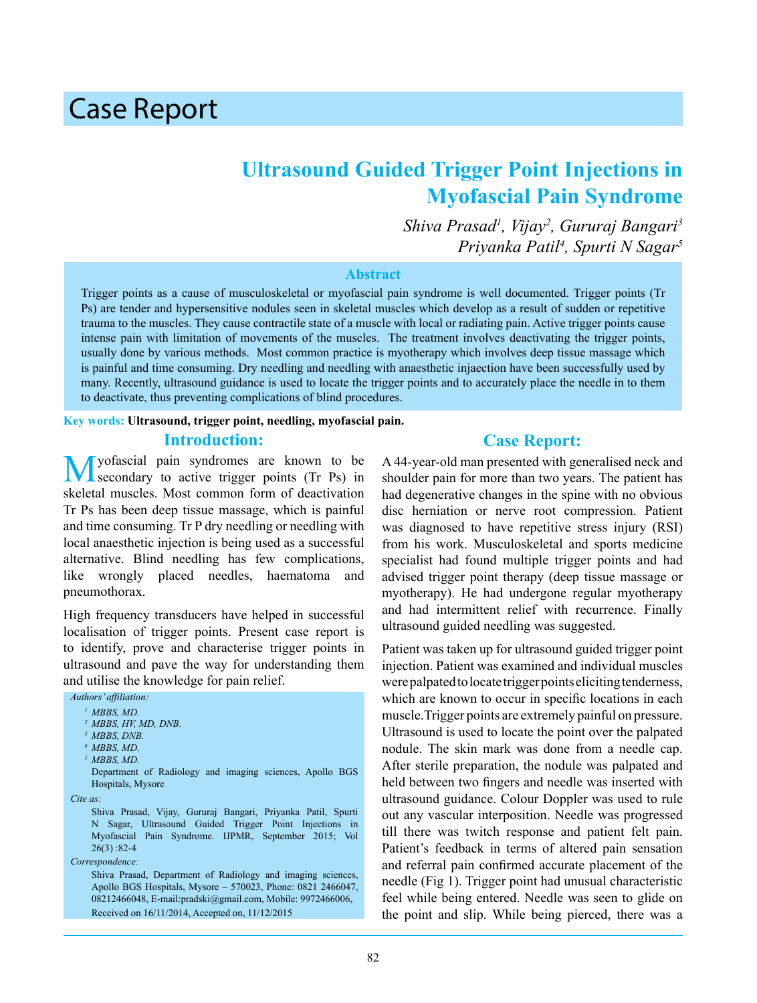# Case Report

# **Ultrasound Guided Trigger Point Injections in Myofascial Pain Syndrome**

*Shiva Prasad1 , Vijay<sup>2</sup> , Gururaj Bangari<sup>3</sup> Priyanka Patil<sup>4</sup> , Spurti N Sagar5*

#### **Abstract**

Trigger points as a cause of musculoskeletal or myofascial pain syndrome is well documented. Trigger points (Tr Ps) are tender and hypersensitive nodules seen in skeletal muscles which develop as a result of sudden or repetitive trauma to the muscles. They cause contractile state of a muscle with local or radiating pain. Active trigger points cause intense pain with limitation of movements of the muscles. The treatment involves deactivating the trigger points, usually done by various methods. Most common practice is myotherapy which involves deep tissue massage which is painful and time consuming. Dry needling and needling with anaesthetic injaection have been successfully used by many. Recently, ultrasound guidance is used to locate the trigger points and to accurately place the needle in to them to deactivate, thus preventing complications of blind procedures.

#### **Key words: Ultrasound, trigger point, needling, myofascial pain.**

#### **Introduction:**

yofascial pain syndromes are known to be secondary to active trigger points (Tr Ps) in skeletal muscles. Most common form of deactivation Tr Ps has been deep tissue massage, which is painful and time consuming. Tr P dry needling or needling with local anaesthetic injection is being used as a successful alternative. Blind needling has few complications, like wrongly placed needles, haematoma and pneumothorax.

High frequency transducers have helped in successful localisation of trigger points. Present case report is to identify, prove and characterise trigger points in ultrasound and pave the way for understanding them and utilise the knowledge for pain relief.

| Authors' affiliation:                                        |
|--------------------------------------------------------------|
| $1 MBBS, MD.$                                                |
| <sup>2</sup> MBBS, HV, MD, DNB.                              |
| <sup>3</sup> MBBS, DNB.                                      |
| $4$ MBBS, MD.                                                |
| $5$ MBBS, MD.                                                |
| Department of Radiology and imaging sciences, Apollo BGS     |
| Hospitals, Mysore                                            |
| $Cite$ as:                                                   |
| Shiva Prasad, Vijay, Gururaj Bangari, Priyanka Patil, Spurti |
| Sagar, Ultrasound Guided Trigger Point Injections in<br>N.   |
| Myofascial Pain Syndrome. IJPMR, September 2015; Vol         |
| $26(3) : 82-4$                                               |
| Correspondence:                                              |
| Shiva Prasad, Department of Radiology and imaging sciences,  |
| Apollo BGS Hospitals, Mysore - 570023, Phone: 0821 2466047,  |
| 08212466048, E-mail:pradski@gmail.com, Mobile: 9972466006,   |

#### Received on 16/11/2014, Accepted on, 11/12/2015

#### **Case Report:**

A 44-year-old man presented with generalised neck and shoulder pain for more than two years. The patient has had degenerative changes in the spine with no obvious disc herniation or nerve root compression. Patient was diagnosed to have repetitive stress injury (RSI) from his work. Musculoskeletal and sports medicine specialist had found multiple trigger points and had advised trigger point therapy (deep tissue massage or myotherapy). He had undergone regular myotherapy and had intermittent relief with recurrence. Finally ultrasound guided needling was suggested.

Patient was taken up for ultrasound guided trigger point injection. Patient was examined and individual muscles were palpated to locate trigger points eliciting tenderness, which are known to occur in specific locations in each muscle.Trigger points are extremely painful on pressure. Ultrasound is used to locate the point over the palpated nodule. The skin mark was done from a needle cap. After sterile preparation, the nodule was palpated and held between two fingers and needle was inserted with ultrasound guidance. Colour Doppler was used to rule out any vascular interposition. Needle was progressed till there was twitch response and patient felt pain. Patient's feedback in terms of altered pain sensation and referral pain confirmed accurate placement of the needle (Fig 1). Trigger point had unusual characteristic feel while being entered. Needle was seen to glide on the point and slip. While being pierced, there was a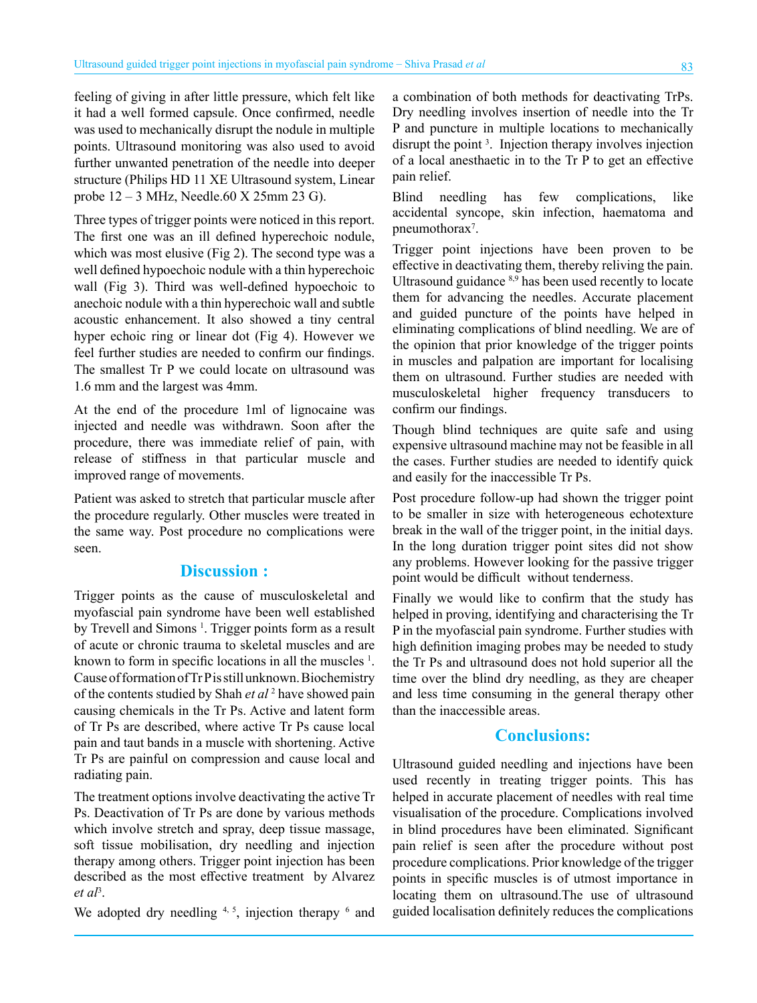feeling of giving in after little pressure, which felt like it had a well formed capsule. Once confirmed, needle was used to mechanically disrupt the nodule in multiple points. Ultrasound monitoring was also used to avoid further unwanted penetration of the needle into deeper structure (Philips HD 11 XE Ultrasound system, Linear probe 12 – 3 MHz, Needle.60 X 25mm 23 G).

Three types of trigger points were noticed in this report. The first one was an ill defined hyperechoic nodule, which was most elusive (Fig 2). The second type was a well defined hypoechoic nodule with a thin hyperechoic wall (Fig 3). Third was well-defined hypoechoic to anechoic nodule with a thin hyperechoic wall and subtle acoustic enhancement. It also showed a tiny central hyper echoic ring or linear dot (Fig 4). However we feel further studies are needed to confirm our findings. The smallest Tr P we could locate on ultrasound was 1.6 mm and the largest was 4mm.

At the end of the procedure 1ml of lignocaine was injected and needle was withdrawn. Soon after the procedure, there was immediate relief of pain, with release of stiffness in that particular muscle and improved range of movements.

Patient was asked to stretch that particular muscle after the procedure regularly. Other muscles were treated in the same way. Post procedure no complications were seen.

## **Discussion :**

Trigger points as the cause of musculoskeletal and myofascial pain syndrome have been well established by Trevell and Simons<sup>1</sup>. Trigger points form as a result of acute or chronic trauma to skeletal muscles and are known to form in specific locations in all the muscles <sup>1</sup>. Cause of formation of Tr P is still unknown. Biochemistry of the contents studied by Shah *et al* <sup>2</sup> have showed pain causing chemicals in the Tr Ps. Active and latent form of Tr Ps are described, where active Tr Ps cause local pain and taut bands in a muscle with shortening. Active Tr Ps are painful on compression and cause local and radiating pain.

The treatment options involve deactivating the active Tr Ps. Deactivation of Tr Ps are done by various methods which involve stretch and spray, deep tissue massage, soft tissue mobilisation, dry needling and injection therapy among others. Trigger point injection has been described as the most effective treatment by Alvarez *et al*<sup>3</sup> .

We adopted dry needling  $4, 5$ , injection therapy  $6$  and

a combination of both methods for deactivating TrPs. Dry needling involves insertion of needle into the Tr P and puncture in multiple locations to mechanically disrupt the point <sup>3</sup> . Injection therapy involves injection of a local anesthaetic in to the Tr P to get an effective pain relief.

Blind needling has few complications, like accidental syncope, skin infection, haematoma and pneumothorax<sup>7</sup>.

Trigger point injections have been proven to be effective in deactivating them, thereby reliving the pain. Ultrasound guidance 8,9 has been used recently to locate them for advancing the needles. Accurate placement and guided puncture of the points have helped in eliminating complications of blind needling. We are of the opinion that prior knowledge of the trigger points in muscles and palpation are important for localising them on ultrasound. Further studies are needed with musculoskeletal higher frequency transducers to confirm our findings.

Though blind techniques are quite safe and using expensive ultrasound machine may not be feasible in all the cases. Further studies are needed to identify quick and easily for the inaccessible Tr Ps.

Post procedure follow-up had shown the trigger point to be smaller in size with heterogeneous echotexture break in the wall of the trigger point, in the initial days. In the long duration trigger point sites did not show any problems. However looking for the passive trigger point would be difficult without tenderness.

Finally we would like to confirm that the study has helped in proving, identifying and characterising the Tr P in the myofascial pain syndrome. Further studies with high definition imaging probes may be needed to study the Tr Ps and ultrasound does not hold superior all the time over the blind dry needling, as they are cheaper and less time consuming in the general therapy other than the inaccessible areas.

#### **Conclusions:**

Ultrasound guided needling and injections have been used recently in treating trigger points. This has helped in accurate placement of needles with real time visualisation of the procedure. Complications involved in blind procedures have been eliminated. Significant pain relief is seen after the procedure without post procedure complications. Prior knowledge of the trigger points in specific muscles is of utmost importance in locating them on ultrasound.The use of ultrasound guided localisation definitely reduces the complications